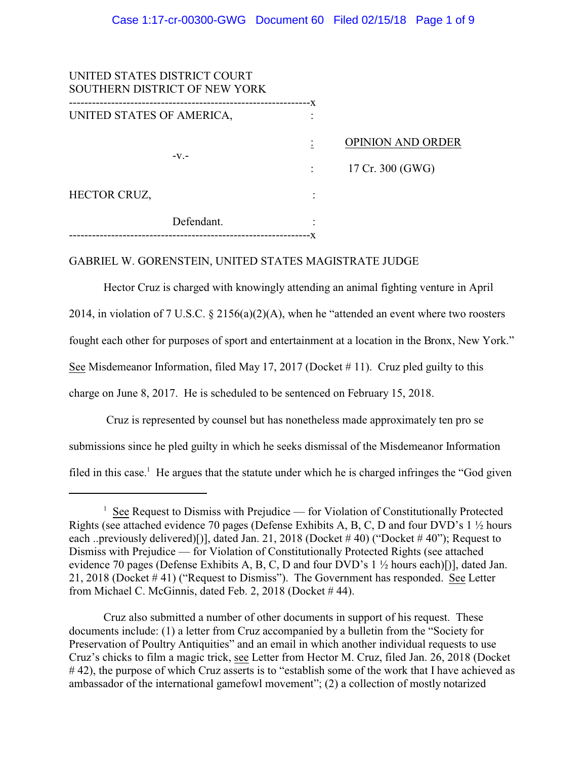| UNITED STATES DISTRICT COURT<br>SOUTHERN DISTRICT OF NEW YORK |            |                    |                          |
|---------------------------------------------------------------|------------|--------------------|--------------------------|
| UNITED STATES OF AMERICA,                                     |            | -X<br>------------ |                          |
|                                                               | $-V.$      |                    | <b>OPINION AND ORDER</b> |
|                                                               |            |                    | 17 Cr. 300 (GWG)         |
| HECTOR CRUZ,                                                  |            |                    |                          |
|                                                               | Defendant. |                    |                          |
|                                                               |            |                    |                          |

## GABRIEL W. GORENSTEIN, UNITED STATES MAGISTRATE JUDGE

Hector Cruz is charged with knowingly attending an animal fighting venture in April 2014, in violation of 7 U.S.C. § 2156(a)(2)(A), when he "attended an event where two roosters fought each other for purposes of sport and entertainment at a location in the Bronx, New York." See Misdemeanor Information, filed May 17, 2017 (Docket  $\#$  11). Cruz pled guilty to this charge on June 8, 2017. He is scheduled to be sentenced on February 15, 2018.

 Cruz is represented by counsel but has nonetheless made approximately ten pro se submissions since he pled guilty in which he seeks dismissal of the Misdemeanor Information filed in this case.<sup>1</sup> He argues that the statute under which he is charged infringes the "God given

<sup>&</sup>lt;sup>1</sup> See Request to Dismiss with Prejudice — for Violation of Constitutionally Protected Rights (see attached evidence 70 pages (Defense Exhibits A, B, C, D and four DVD's 1 ½ hours each ..previously delivered)[)], dated Jan. 21, 2018 (Docket #40) ("Docket #40"); Request to Dismiss with Prejudice — for Violation of Constitutionally Protected Rights (see attached evidence 70 pages (Defense Exhibits A, B, C, D and four DVD's 1 ½ hours each)[)], dated Jan. 21, 2018 (Docket # 41) ("Request to Dismiss"). The Government has responded. See Letter from Michael C. McGinnis, dated Feb. 2, 2018 (Docket # 44).

Cruz also submitted a number of other documents in support of his request. These documents include: (1) a letter from Cruz accompanied by a bulletin from the "Society for Preservation of Poultry Antiquities" and an email in which another individual requests to use Cruz's chicks to film a magic trick, see Letter from Hector M. Cruz, filed Jan. 26, 2018 (Docket #42), the purpose of which Cruz asserts is to "establish some of the work that I have achieved as ambassador of the international gamefowl movement"; (2) a collection of mostly notarized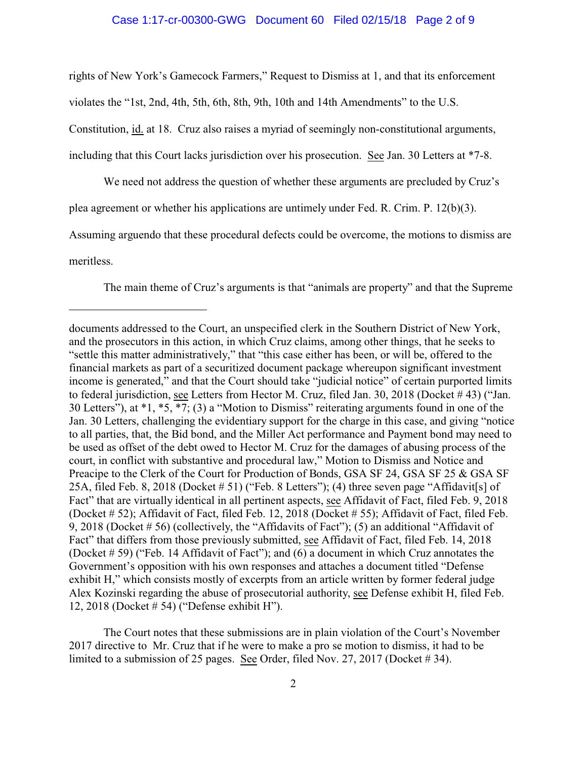### Case 1:17-cr-00300-GWG Document 60 Filed 02/15/18 Page 2 of 9

rights of New York's Gamecock Farmers," Request to Dismiss at 1, and that its enforcement violates the "1st, 2nd, 4th, 5th, 6th, 8th, 9th, 10th and 14th Amendments" to the U.S. Constitution, id. at 18. Cruz also raises a myriad of seemingly non-constitutional arguments, including that this Court lacks jurisdiction over his prosecution. See Jan. 30 Letters at \*7-8.

We need not address the question of whether these arguments are precluded by Cruz's plea agreement or whether his applications are untimely under Fed. R. Crim. P. 12(b)(3).

Assuming arguendo that these procedural defects could be overcome, the motions to dismiss are meritless.

The main theme of Cruz's arguments is that "animals are property" and that the Supreme

The Court notes that these submissions are in plain violation of the Court's November 2017 directive to Mr. Cruz that if he were to make a pro se motion to dismiss, it had to be limited to a submission of 25 pages. See Order, filed Nov. 27, 2017 (Docket # 34).

documents addressed to the Court, an unspecified clerk in the Southern District of New York, and the prosecutors in this action, in which Cruz claims, among other things, that he seeks to "settle this matter administratively," that "this case either has been, or will be, offered to the financial markets as part of a securitized document package whereupon significant investment income is generated," and that the Court should take "judicial notice" of certain purported limits to federal jurisdiction, see Letters from Hector M. Cruz, filed Jan. 30, 2018 (Docket # 43) ("Jan. 30 Letters"), at \*1, \*5, \*7; (3) a "Motion to Dismiss" reiterating arguments found in one of the Jan. 30 Letters, challenging the evidentiary support for the charge in this case, and giving "notice to all parties, that, the Bid bond, and the Miller Act performance and Payment bond may need to be used as offset of the debt owed to Hector M. Cruz for the damages of abusing process of the court, in conflict with substantive and procedural law," Motion to Dismiss and Notice and Preacipe to the Clerk of the Court for Production of Bonds, GSA SF 24, GSA SF 25 & GSA SF 25A, filed Feb. 8, 2018 (Docket # 51) ("Feb. 8 Letters"); (4) three seven page "Affidavit[s] of Fact" that are virtually identical in all pertinent aspects, see Affidavit of Fact, filed Feb. 9, 2018 (Docket # 52); Affidavit of Fact, filed Feb. 12, 2018 (Docket # 55); Affidavit of Fact, filed Feb. 9, 2018 (Docket # 56) (collectively, the "Affidavits of Fact"); (5) an additional "Affidavit of Fact" that differs from those previously submitted, see Affidavit of Fact, filed Feb. 14, 2018 (Docket # 59) ("Feb. 14 Affidavit of Fact"); and (6) a document in which Cruz annotates the Government's opposition with his own responses and attaches a document titled "Defense exhibit H," which consists mostly of excerpts from an article written by former federal judge Alex Kozinski regarding the abuse of prosecutorial authority, see Defense exhibit H, filed Feb. 12, 2018 (Docket # 54) ("Defense exhibit H").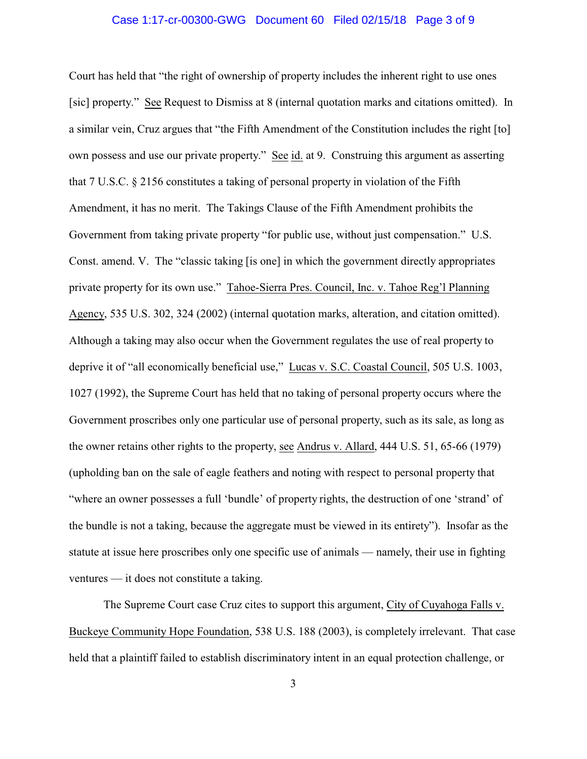#### Case 1:17-cr-00300-GWG Document 60 Filed 02/15/18 Page 3 of 9

Court has held that "the right of ownership of property includes the inherent right to use ones [sic] property." See Request to Dismiss at 8 (internal quotation marks and citations omitted). In a similar vein, Cruz argues that "the Fifth Amendment of the Constitution includes the right [to] own possess and use our private property." See id. at 9. Construing this argument as asserting that 7 U.S.C. § 2156 constitutes a taking of personal property in violation of the Fifth Amendment, it has no merit. The Takings Clause of the Fifth Amendment prohibits the Government from taking private property "for public use, without just compensation." U.S. Const. amend. V. The "classic taking [is one] in which the government directly appropriates private property for its own use." Tahoe-Sierra Pres. Council, Inc. v. Tahoe Reg'l Planning Agency, 535 U.S. 302, 324 (2002) (internal quotation marks, alteration, and citation omitted). Although a taking may also occur when the Government regulates the use of real property to deprive it of "all economically beneficial use," Lucas v. S.C. Coastal Council, 505 U.S. 1003, 1027 (1992), the Supreme Court has held that no taking of personal property occurs where the Government proscribes only one particular use of personal property, such as its sale, as long as the owner retains other rights to the property, see Andrus v. Allard, 444 U.S. 51, 65-66 (1979) (upholding ban on the sale of eagle feathers and noting with respect to personal property that "where an owner possesses a full 'bundle' of property rights, the destruction of one 'strand' of the bundle is not a taking, because the aggregate must be viewed in its entirety"). Insofar as the statute at issue here proscribes only one specific use of animals — namely, their use in fighting ventures — it does not constitute a taking.

The Supreme Court case Cruz cites to support this argument, City of Cuyahoga Falls v. Buckeye Community Hope Foundation, 538 U.S. 188 (2003), is completely irrelevant. That case held that a plaintiff failed to establish discriminatory intent in an equal protection challenge, or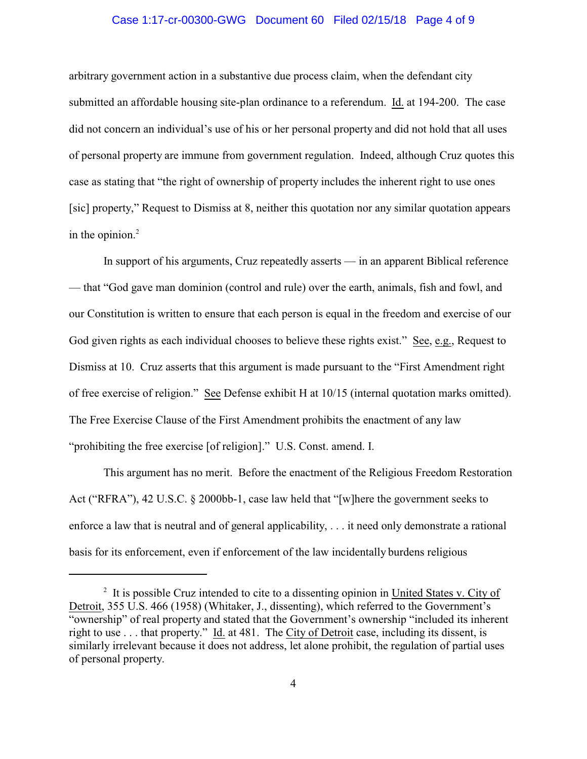### Case 1:17-cr-00300-GWG Document 60 Filed 02/15/18 Page 4 of 9

arbitrary government action in a substantive due process claim, when the defendant city submitted an affordable housing site-plan ordinance to a referendum. Id. at 194-200. The case did not concern an individual's use of his or her personal property and did not hold that all uses of personal property are immune from government regulation. Indeed, although Cruz quotes this case as stating that "the right of ownership of property includes the inherent right to use ones [sic] property," Request to Dismiss at 8, neither this quotation nor any similar quotation appears in the opinion. $2$ 

In support of his arguments, Cruz repeatedly asserts — in an apparent Biblical reference — that "God gave man dominion (control and rule) over the earth, animals, fish and fowl, and our Constitution is written to ensure that each person is equal in the freedom and exercise of our God given rights as each individual chooses to believe these rights exist." See, e.g., Request to Dismiss at 10. Cruz asserts that this argument is made pursuant to the "First Amendment right of free exercise of religion." See Defense exhibit H at 10/15 (internal quotation marks omitted). The Free Exercise Clause of the First Amendment prohibits the enactment of any law "prohibiting the free exercise [of religion]." U.S. Const. amend. I.

This argument has no merit. Before the enactment of the Religious Freedom Restoration Act ("RFRA"), 42 U.S.C. § 2000bb-1, case law held that "[w]here the government seeks to enforce a law that is neutral and of general applicability, . . . it need only demonstrate a rational basis for its enforcement, even if enforcement of the law incidentally burdens religious

<sup>&</sup>lt;sup>2</sup> It is possible Cruz intended to cite to a dissenting opinion in United States v. City of Detroit, 355 U.S. 466 (1958) (Whitaker, J., dissenting), which referred to the Government's "ownership" of real property and stated that the Government's ownership "included its inherent right to use . . . that property." Id. at 481. The City of Detroit case, including its dissent, is similarly irrelevant because it does not address, let alone prohibit, the regulation of partial uses of personal property.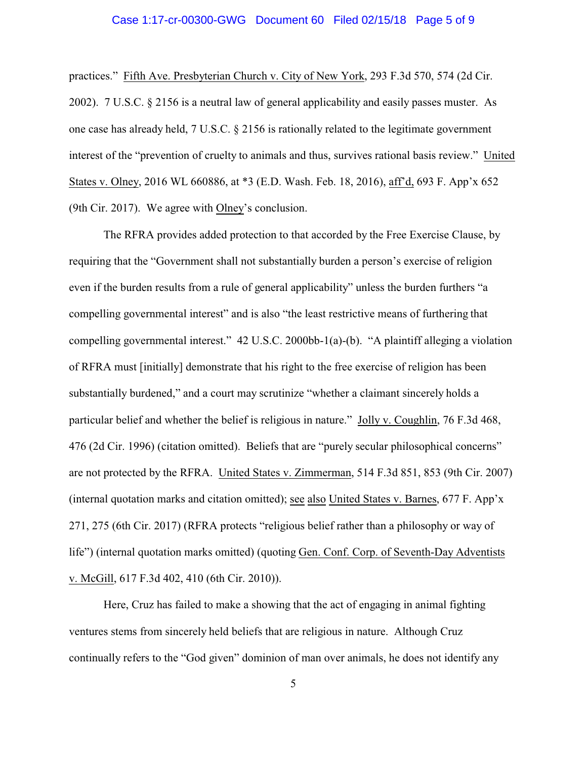#### Case 1:17-cr-00300-GWG Document 60 Filed 02/15/18 Page 5 of 9

practices." Fifth Ave. Presbyterian Church v. City of New York, 293 F.3d 570, 574 (2d Cir. 2002). 7 U.S.C. § 2156 is a neutral law of general applicability and easily passes muster. As one case has already held, 7 U.S.C. § 2156 is rationally related to the legitimate government interest of the "prevention of cruelty to animals and thus, survives rational basis review." United States v. Olney, 2016 WL 660886, at \*3 (E.D. Wash. Feb. 18, 2016), aff'd, 693 F. App'x 652 (9th Cir. 2017). We agree with Olney's conclusion.

The RFRA provides added protection to that accorded by the Free Exercise Clause, by requiring that the "Government shall not substantially burden a person's exercise of religion even if the burden results from a rule of general applicability" unless the burden furthers "a compelling governmental interest" and is also "the least restrictive means of furthering that compelling governmental interest." 42 U.S.C. 2000bb-1(a)-(b). "A plaintiff alleging a violation of RFRA must [initially] demonstrate that his right to the free exercise of religion has been substantially burdened," and a court may scrutinize "whether a claimant sincerely holds a particular belief and whether the belief is religious in nature." Jolly v. Coughlin, 76 F.3d 468, 476 (2d Cir. 1996) (citation omitted). Beliefs that are "purely secular philosophical concerns" are not protected by the RFRA. United States v. Zimmerman, 514 F.3d 851, 853 (9th Cir. 2007) (internal quotation marks and citation omitted); see also United States v. Barnes, 677 F. App'x 271, 275 (6th Cir. 2017) (RFRA protects "religious belief rather than a philosophy or way of life") (internal quotation marks omitted) (quoting Gen. Conf. Corp. of Seventh-Day Adventists v. McGill, 617 F.3d 402, 410 (6th Cir. 2010)).

Here, Cruz has failed to make a showing that the act of engaging in animal fighting ventures stems from sincerely held beliefs that are religious in nature. Although Cruz continually refers to the "God given" dominion of man over animals, he does not identify any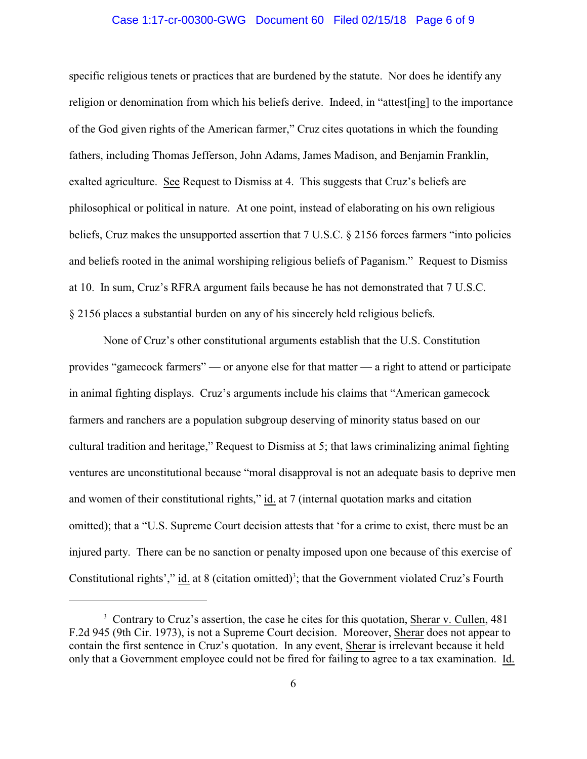### Case 1:17-cr-00300-GWG Document 60 Filed 02/15/18 Page 6 of 9

specific religious tenets or practices that are burdened by the statute. Nor does he identify any religion or denomination from which his beliefs derive. Indeed, in "attest[ing] to the importance of the God given rights of the American farmer," Cruz cites quotations in which the founding fathers, including Thomas Jefferson, John Adams, James Madison, and Benjamin Franklin, exalted agriculture. See Request to Dismiss at 4. This suggests that Cruz's beliefs are philosophical or political in nature. At one point, instead of elaborating on his own religious beliefs, Cruz makes the unsupported assertion that 7 U.S.C. § 2156 forces farmers "into policies and beliefs rooted in the animal worshiping religious beliefs of Paganism." Request to Dismiss at 10. In sum, Cruz's RFRA argument fails because he has not demonstrated that 7 U.S.C. § 2156 places a substantial burden on any of his sincerely held religious beliefs.

None of Cruz's other constitutional arguments establish that the U.S. Constitution provides "gamecock farmers" — or anyone else for that matter — a right to attend or participate in animal fighting displays. Cruz's arguments include his claims that "American gamecock farmers and ranchers are a population subgroup deserving of minority status based on our cultural tradition and heritage," Request to Dismiss at 5; that laws criminalizing animal fighting ventures are unconstitutional because "moral disapproval is not an adequate basis to deprive men and women of their constitutional rights," id. at 7 (internal quotation marks and citation omitted); that a "U.S. Supreme Court decision attests that 'for a crime to exist, there must be an injured party. There can be no sanction or penalty imposed upon one because of this exercise of Constitutional rights'," id. at 8 (citation omitted)<sup>3</sup>; that the Government violated Cruz's Fourth

<sup>&</sup>lt;sup>3</sup> Contrary to Cruz's assertion, the case he cites for this quotation, Sherar v. Cullen, 481 F.2d 945 (9th Cir. 1973), is not a Supreme Court decision. Moreover, Sherar does not appear to contain the first sentence in Cruz's quotation. In any event, Sherar is irrelevant because it held only that a Government employee could not be fired for failing to agree to a tax examination. Id.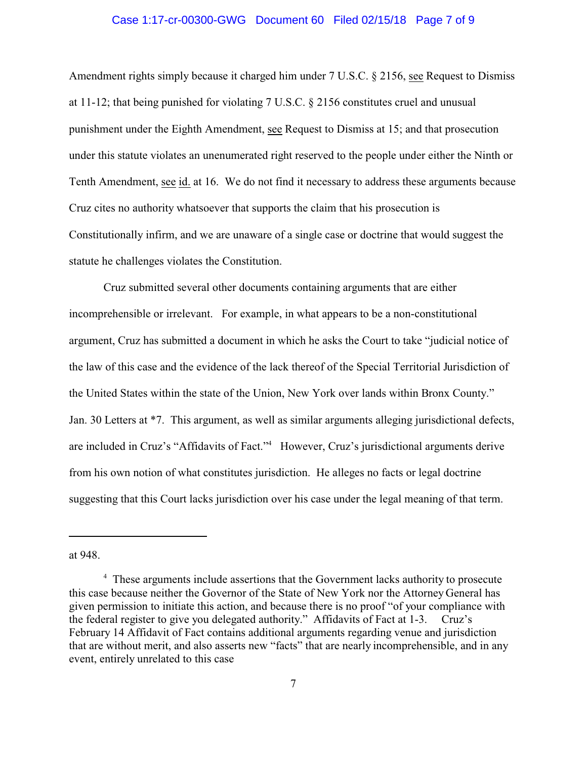#### Case 1:17-cr-00300-GWG Document 60 Filed 02/15/18 Page 7 of 9

Amendment rights simply because it charged him under 7 U.S.C. § 2156, see Request to Dismiss at 11-12; that being punished for violating 7 U.S.C. § 2156 constitutes cruel and unusual punishment under the Eighth Amendment, see Request to Dismiss at 15; and that prosecution under this statute violates an unenumerated right reserved to the people under either the Ninth or Tenth Amendment, see id. at 16. We do not find it necessary to address these arguments because Cruz cites no authority whatsoever that supports the claim that his prosecution is Constitutionally infirm, and we are unaware of a single case or doctrine that would suggest the statute he challenges violates the Constitution.

Cruz submitted several other documents containing arguments that are either incomprehensible or irrelevant. For example, in what appears to be a non-constitutional argument, Cruz has submitted a document in which he asks the Court to take "judicial notice of the law of this case and the evidence of the lack thereof of the Special Territorial Jurisdiction of the United States within the state of the Union, New York over lands within Bronx County." Jan. 30 Letters at \*7. This argument, as well as similar arguments alleging jurisdictional defects, are included in Cruz's "Affidavits of Fact."<sup>4</sup> However, Cruz's jurisdictional arguments derive from his own notion of what constitutes jurisdiction. He alleges no facts or legal doctrine suggesting that this Court lacks jurisdiction over his case under the legal meaning of that term.

at 948.

<sup>&</sup>lt;sup>4</sup> These arguments include assertions that the Government lacks authority to prosecute this case because neither the Governor of the State of New York nor the Attorney General has given permission to initiate this action, and because there is no proof "of your compliance with the federal register to give you delegated authority." Affidavits of Fact at 1-3. Cruz's February 14 Affidavit of Fact contains additional arguments regarding venue and jurisdiction that are without merit, and also asserts new "facts" that are nearly incomprehensible, and in any event, entirely unrelated to this case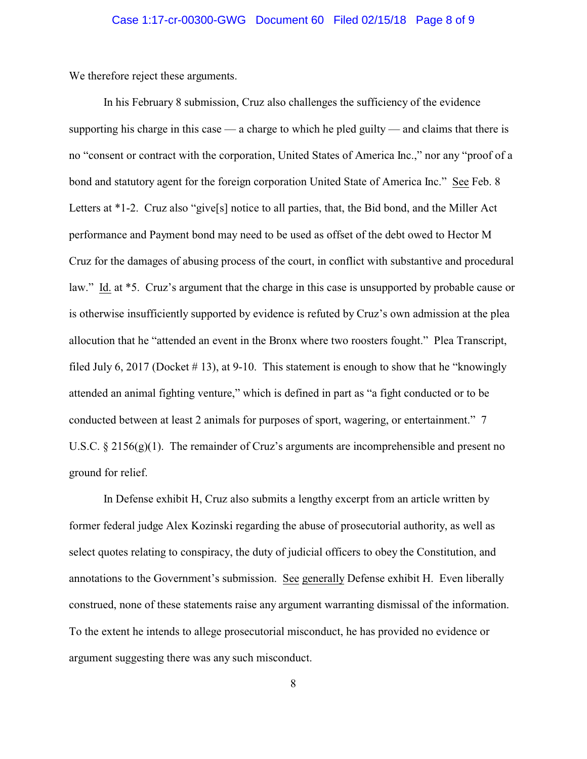We therefore reject these arguments.

In his February 8 submission, Cruz also challenges the sufficiency of the evidence supporting his charge in this case — a charge to which he pled guilty — and claims that there is no "consent or contract with the corporation, United States of America Inc.," nor any "proof of a bond and statutory agent for the foreign corporation United State of America Inc." See Feb. 8 Letters at \*1-2. Cruz also "give[s] notice to all parties, that, the Bid bond, and the Miller Act performance and Payment bond may need to be used as offset of the debt owed to Hector M Cruz for the damages of abusing process of the court, in conflict with substantive and procedural law." Id. at \*5. Cruz's argument that the charge in this case is unsupported by probable cause or is otherwise insufficiently supported by evidence is refuted by Cruz's own admission at the plea allocution that he "attended an event in the Bronx where two roosters fought." Plea Transcript, filed July 6, 2017 (Docket  $\#$  13), at 9-10. This statement is enough to show that he "knowingly" attended an animal fighting venture," which is defined in part as "a fight conducted or to be conducted between at least 2 animals for purposes of sport, wagering, or entertainment." 7 U.S.C.  $\S 2156(g)(1)$ . The remainder of Cruz's arguments are incomprehensible and present no ground for relief.

In Defense exhibit H, Cruz also submits a lengthy excerpt from an article written by former federal judge Alex Kozinski regarding the abuse of prosecutorial authority, as well as select quotes relating to conspiracy, the duty of judicial officers to obey the Constitution, and annotations to the Government's submission. See generally Defense exhibit H. Even liberally construed, none of these statements raise any argument warranting dismissal of the information. To the extent he intends to allege prosecutorial misconduct, he has provided no evidence or argument suggesting there was any such misconduct.

8